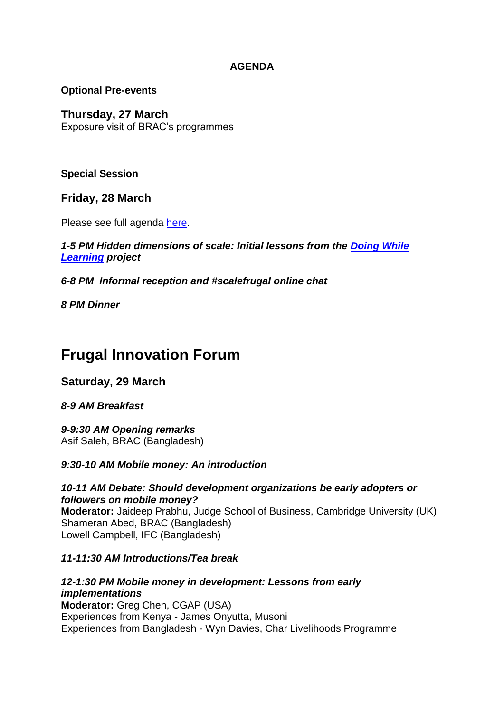## **AGENDA**

## **Optional Pre-events**

## **Thursday, 27 March**

Exposure visit of BRAC's programmes

**Special Session**

**Friday, 28 March**

Please see full agenda [here.](http://www.brac.net/sites/default/files/Hidden%20dimensions%20of%20scale%20-%20initial%20lessons%20from%20the%20Doing%20while%20learning.pdf)

## *1-5 PM Hidden dimensions of scale: Initial lessons from the [Doing While](http://www.brac.net/content/doing-while-learning-collaborative-models-scaling-innovation#1)  [Learning](http://www.brac.net/content/doing-while-learning-collaborative-models-scaling-innovation#1) project*

*6-8 PM Informal reception and #scalefrugal online chat*

*8 PM Dinner*

# **Frugal Innovation Forum**

# **Saturday, 29 March**

*8-9 AM Breakfast*

*9-9:30 AM Opening remarks* Asif Saleh, BRAC (Bangladesh)

*9:30-10 AM Mobile money: An introduction*

*10-11 AM Debate: Should development organizations be early adopters or followers on mobile money?* **Moderator:** Jaideep Prabhu, Judge School of Business, Cambridge University (UK) Shameran Abed, BRAC (Bangladesh) Lowell Campbell, IFC (Bangladesh)

## *11-11:30 AM Introductions/Tea break*

*12-1:30 PM Mobile money in development: Lessons from early implementations* **Moderator:** Greg Chen, CGAP (USA) Experiences from Kenya - James Onyutta, Musoni Experiences from Bangladesh - Wyn Davies, Char Livelihoods Programme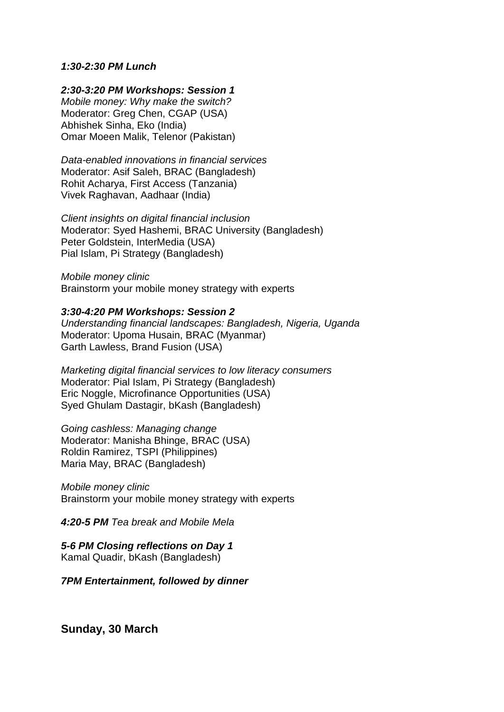#### *1:30-2:30 PM Lunch*

*2:30-3:20 PM Workshops: Session 1*

*Mobile money: Why make the switch?* Moderator: Greg Chen, CGAP (USA) Abhishek Sinha, Eko (India) Omar Moeen Malik, Telenor (Pakistan)

*Data-enabled innovations in financial services* Moderator: Asif Saleh, BRAC (Bangladesh) Rohit Acharya, First Access (Tanzania) Vivek Raghavan, Aadhaar (India)

*Client insights on digital financial inclusion* Moderator: Syed Hashemi, BRAC University (Bangladesh) Peter Goldstein, InterMedia (USA) Pial Islam, Pi Strategy (Bangladesh)

*Mobile money clinic* Brainstorm your mobile money strategy with experts

#### *3:30-4:20 PM Workshops: Session 2*

*Understanding financial landscapes: Bangladesh, Nigeria, Uganda* Moderator: Upoma Husain, BRAC (Myanmar) Garth Lawless, Brand Fusion (USA)

*Marketing digital financial services to low literacy consumers* Moderator: Pial Islam, Pi Strategy (Bangladesh) Eric Noggle, Microfinance Opportunities (USA) Syed Ghulam Dastagir, bKash (Bangladesh)

*Going cashless: Managing change*  Moderator: Manisha Bhinge, BRAC (USA) Roldin Ramirez, TSPI (Philippines) Maria May, BRAC (Bangladesh)

*Mobile money clinic* Brainstorm your mobile money strategy with experts

*4:20-5 PM Tea break and Mobile Mela*

*5-6 PM Closing reflections on Day 1* Kamal Quadir, bKash (Bangladesh)

*7PM Entertainment, followed by dinner*

**Sunday, 30 March**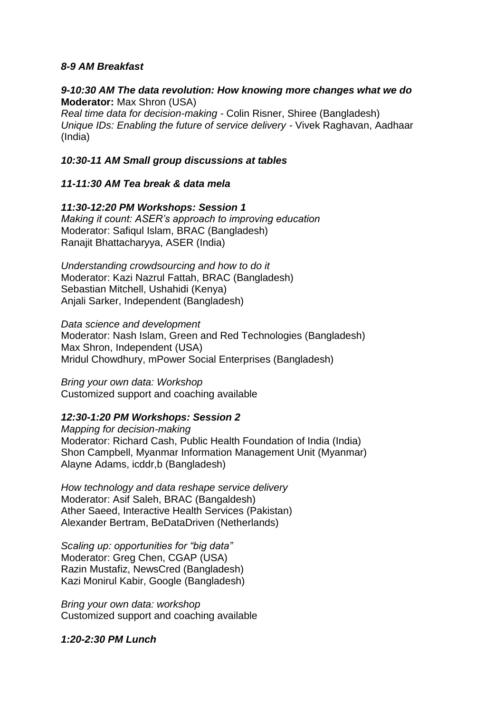#### *8-9 AM Breakfast*

#### *9-10:30 AM The data revolution: How knowing more changes what we do* **Moderator:** Max Shron (USA)

*Real time data for decision-making -* Colin Risner, Shiree (Bangladesh) *Unique IDs: Enabling the future of service delivery -* Vivek Raghavan, Aadhaar (India)

#### *10:30-11 AM Small group discussions at tables*

#### *11-11:30 AM Tea break & data mela*

*11:30-12:20 PM Workshops: Session 1 Making it count: ASER's approach to improving education* Moderator: Safiqul Islam, BRAC (Bangladesh) Ranajit Bhattacharyya, ASER (India)

*Understanding crowdsourcing and how to do it* Moderator: Kazi Nazrul Fattah, BRAC (Bangladesh) Sebastian Mitchell, Ushahidi (Kenya) Anjali Sarker, Independent (Bangladesh)

*Data science and development* Moderator: Nash Islam, Green and Red Technologies (Bangladesh) Max Shron, Independent (USA) Mridul Chowdhury, mPower Social Enterprises (Bangladesh)

*Bring your own data: Workshop* Customized support and coaching available

#### *12:30-1:20 PM Workshops: Session 2*

*Mapping for decision-making* Moderator: Richard Cash, Public Health Foundation of India (India) Shon Campbell, Myanmar Information Management Unit (Myanmar) Alayne Adams, icddr,b (Bangladesh)

*How technology and data reshape service delivery* Moderator: Asif Saleh, BRAC (Bangaldesh) Ather Saeed, Interactive Health Services (Pakistan) Alexander Bertram, BeDataDriven (Netherlands)

*Scaling up: opportunities for "big data"* Moderator: Greg Chen, CGAP (USA) Razin Mustafiz, NewsCred (Bangladesh) Kazi Monirul Kabir, Google (Bangladesh)

*Bring your own data: workshop* Customized support and coaching available

*1:20-2:30 PM Lunch*